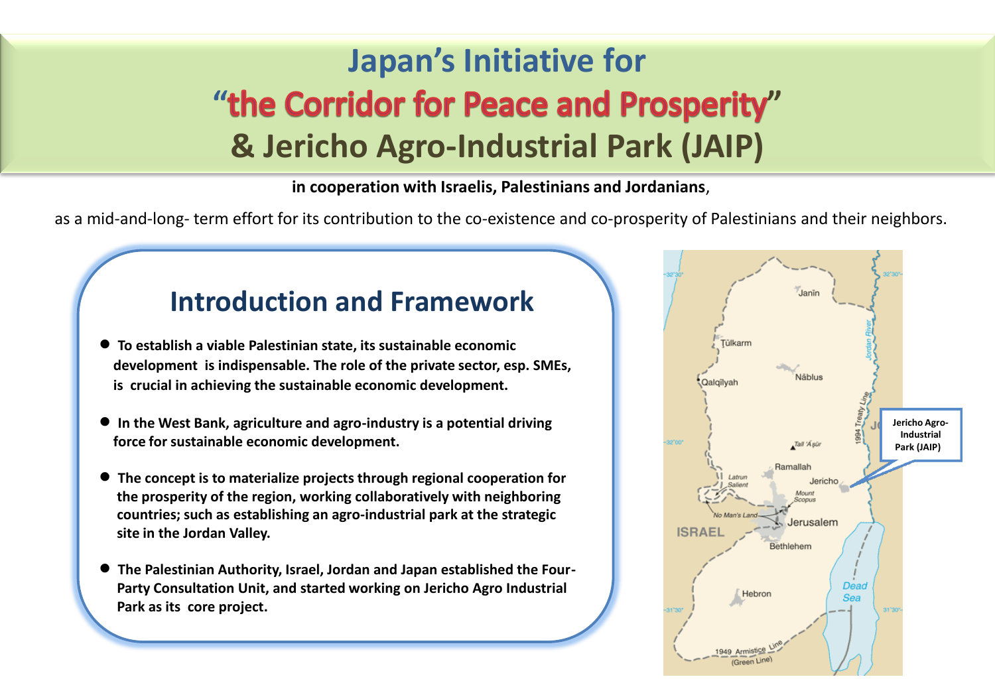## **Japan's Initiative for** "the Corridor for Peace and Prosperity" **& Jericho Agro-Industrial Park (JAIP)**

**in cooperation with Israelis, Palestinians and Jordanians**,

as a mid-and-long- term effort for its contribution to the co-existence and co-prosperity of Palestinians and their neighbors.

## **Introduction and Framework**

- **To establish a viable Palestinian state, its sustainable economic development is indispensable. The role of the private sector, esp. SMEs, is crucial in achieving the sustainable economic development.**
- **In the West Bank, agriculture and agro-industry is a potential driving force for sustainable economic development.**
- **The concept is to materialize projects through regional cooperation for the prosperity of the region, working collaboratively with neighboring countries; such as establishing an agro-industrial park at the strategic site in the Jordan Valley.**
- **The Palestinian Authority, Israel, Jordan and Japan established the Four- Party Consultation Unit, and started working on Jericho Agro Industrial Park as its core project.**